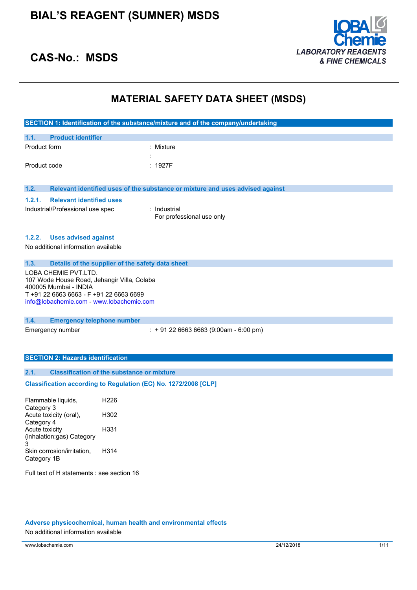

### **CAS-No.: MSDS**

### **MATERIAL SAFETY DATA SHEET (MSDS)**

|              |                                                                      |                  | SECTION 1: Identification of the substance/mixture and of the company/undertaking |
|--------------|----------------------------------------------------------------------|------------------|-----------------------------------------------------------------------------------|
| 1.1.         | <b>Product identifier</b>                                            |                  |                                                                                   |
| Product form |                                                                      |                  | Mixture                                                                           |
|              |                                                                      |                  |                                                                                   |
| Product code |                                                                      |                  | : 1927F                                                                           |
|              |                                                                      |                  |                                                                                   |
| 1.2.         |                                                                      |                  | Relevant identified uses of the substance or mixture and uses advised against     |
| 1.2.1.       | <b>Relevant identified uses</b>                                      |                  |                                                                                   |
|              | Industrial/Professional use spec                                     |                  | : Industrial                                                                      |
|              |                                                                      |                  | For professional use only                                                         |
|              |                                                                      |                  |                                                                                   |
| 1.2.2.       | <b>Uses advised against</b>                                          |                  |                                                                                   |
|              | No additional information available                                  |                  |                                                                                   |
|              |                                                                      |                  |                                                                                   |
| 1.3.         | Details of the supplier of the safety data sheet                     |                  |                                                                                   |
|              | LOBA CHEMIE PVT.LTD.                                                 |                  |                                                                                   |
|              | 107 Wode House Road, Jehangir Villa, Colaba<br>400005 Mumbai - INDIA |                  |                                                                                   |
|              | T +91 22 6663 6663 - F +91 22 6663 6699                              |                  |                                                                                   |
|              | info@lobachemie.com - www.lobachemie.com                             |                  |                                                                                   |
|              |                                                                      |                  |                                                                                   |
| 1.4.         | <b>Emergency telephone number</b>                                    |                  |                                                                                   |
|              | Emergency number                                                     |                  | $: +912266636663(9:00am - 6:00 pm)$                                               |
|              |                                                                      |                  |                                                                                   |
|              |                                                                      |                  |                                                                                   |
|              | <b>SECTION 2: Hazards identification</b>                             |                  |                                                                                   |
| 2.1.         | <b>Classification of the substance or mixture</b>                    |                  |                                                                                   |
|              |                                                                      |                  | Classification according to Regulation (EC) No. 1272/2008 [CLP]                   |
|              | Flammable liquids,                                                   | H <sub>226</sub> |                                                                                   |
| Category 3   |                                                                      |                  |                                                                                   |
| Category 4   | Acute toxicity (oral),                                               | H302             |                                                                                   |

Acute toxicity (inhalation:gas) Category 3 H331 Skin corrosion/irritation, Category 1B H314

Full text of H statements : see section 16

### **Adverse physicochemical, human health and environmental effects**

No additional information available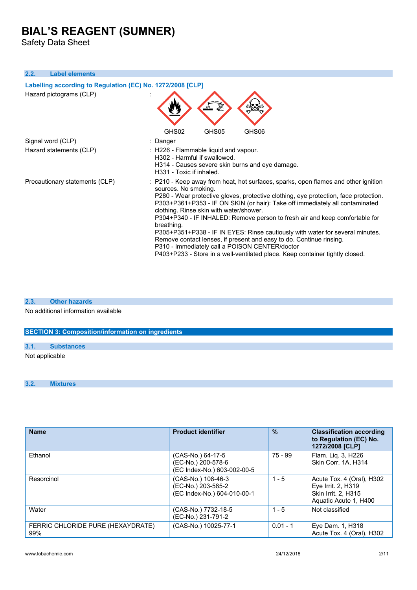Safety Data Sheet

### **2.2. Label elements**

| Labelling according to Regulation (EC) No. 1272/2008 [CLP] |                                                                                                                                                                                                                                                                                                                                                                                                                                                                                                                                                                                                                                                                                                                      |  |
|------------------------------------------------------------|----------------------------------------------------------------------------------------------------------------------------------------------------------------------------------------------------------------------------------------------------------------------------------------------------------------------------------------------------------------------------------------------------------------------------------------------------------------------------------------------------------------------------------------------------------------------------------------------------------------------------------------------------------------------------------------------------------------------|--|
| Hazard pictograms (CLP)                                    |                                                                                                                                                                                                                                                                                                                                                                                                                                                                                                                                                                                                                                                                                                                      |  |
|                                                            | GHS02<br>GHS05<br>GHS06                                                                                                                                                                                                                                                                                                                                                                                                                                                                                                                                                                                                                                                                                              |  |
| Signal word (CLP)                                          | : Danger                                                                                                                                                                                                                                                                                                                                                                                                                                                                                                                                                                                                                                                                                                             |  |
| Hazard statements (CLP)                                    | : H226 - Flammable liquid and vapour.<br>H302 - Harmful if swallowed.<br>H314 - Causes severe skin burns and eye damage.<br>H331 - Toxic if inhaled.                                                                                                                                                                                                                                                                                                                                                                                                                                                                                                                                                                 |  |
| Precautionary statements (CLP)                             | : P210 - Keep away from heat, hot surfaces, sparks, open flames and other ignition<br>sources. No smoking.<br>P280 - Wear protective gloves, protective clothing, eye protection, face protection.<br>P303+P361+P353 - IF ON SKIN (or hair): Take off immediately all contaminated<br>clothing. Rinse skin with water/shower.<br>P304+P340 - IF INHALED: Remove person to fresh air and keep comfortable for<br>breathing.<br>P305+P351+P338 - IF IN EYES: Rinse cautiously with water for several minutes.<br>Remove contact lenses, if present and easy to do. Continue rinsing.<br>P310 - Immediately call a POISON CENTER/doctor<br>P403+P233 - Store in a well-ventilated place. Keep container tightly closed. |  |

#### **2.3. Other hazards**

No additional information available

### **SECTION 3: Composition/information on ingredients**

Not applicable

### **3.2. Mixtures**

| <b>Name</b>                              | <b>Product identifier</b>                                               | $\frac{0}{0}$ | <b>Classification according</b><br>to Regulation (EC) No.<br>1272/2008 [CLP]                    |
|------------------------------------------|-------------------------------------------------------------------------|---------------|-------------------------------------------------------------------------------------------------|
| Ethanol                                  | (CAS-No.) 64-17-5<br>(EC-No.) 200-578-6<br>(EC Index-No.) 603-002-00-5  | 75 - 99       | Flam. Liq. 3, H226<br>Skin Corr. 1A. H314                                                       |
| Resorcinol                               | (CAS-No.) 108-46-3<br>(EC-No.) 203-585-2<br>(EC Index-No.) 604-010-00-1 | $1 - 5$       | Acute Tox. 4 (Oral), H302<br>Eye Irrit. 2, H319<br>Skin Irrit. 2, H315<br>Aquatic Acute 1, H400 |
| Water                                    | (CAS-No.) 7732-18-5<br>(EC-No.) 231-791-2                               | $1 - 5$       | Not classified                                                                                  |
| FERRIC CHLORIDE PURE (HEXAYDRATE)<br>99% | (CAS-No.) 10025-77-1                                                    | $0.01 - 1$    | Eye Dam. 1, H318<br>Acute Tox. 4 (Oral), H302                                                   |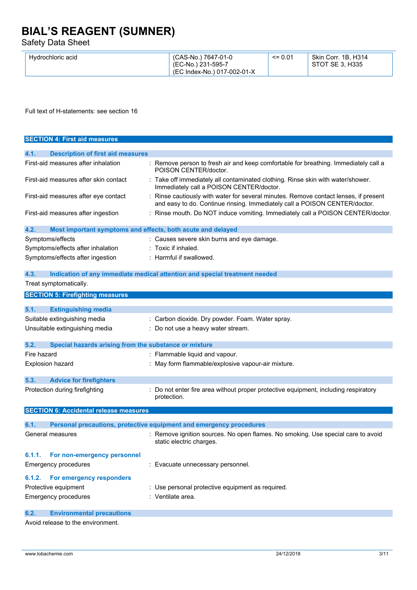Safety Data Sheet

Full text of H-statements: see section 16

| <b>SECTION 4: First aid measures</b>                                |                                                                                                                                                                  |
|---------------------------------------------------------------------|------------------------------------------------------------------------------------------------------------------------------------------------------------------|
| <b>Description of first aid measures</b><br>4.1.                    |                                                                                                                                                                  |
| First-aid measures after inhalation                                 | : Remove person to fresh air and keep comfortable for breathing. Immediately call a<br>POISON CENTER/doctor.                                                     |
| First-aid measures after skin contact                               | : Take off immediately all contaminated clothing. Rinse skin with water/shower.<br>Immediately call a POISON CENTER/doctor.                                      |
| First-aid measures after eye contact                                | Rinse cautiously with water for several minutes. Remove contact lenses, if present<br>and easy to do. Continue rinsing. Immediately call a POISON CENTER/doctor. |
| First-aid measures after ingestion                                  | : Rinse mouth. Do NOT induce vomiting. Immediately call a POISON CENTER/doctor.                                                                                  |
| 4.2.<br>Most important symptoms and effects, both acute and delayed |                                                                                                                                                                  |
| Symptoms/effects                                                    | : Causes severe skin burns and eye damage.                                                                                                                       |
| Symptoms/effects after inhalation                                   | : Toxic if inhaled.                                                                                                                                              |
| Symptoms/effects after ingestion                                    | : Harmful if swallowed.                                                                                                                                          |
| 4.3.                                                                | Indication of any immediate medical attention and special treatment needed                                                                                       |
| Treat symptomatically.                                              |                                                                                                                                                                  |
| <b>SECTION 5: Firefighting measures</b>                             |                                                                                                                                                                  |
| 5.1.<br><b>Extinguishing media</b>                                  |                                                                                                                                                                  |
| Suitable extinguishing media                                        | : Carbon dioxide. Dry powder. Foam. Water spray.                                                                                                                 |
| Unsuitable extinguishing media                                      | : Do not use a heavy water stream.                                                                                                                               |
| Special hazards arising from the substance or mixture<br>5.2.       |                                                                                                                                                                  |
| Fire hazard                                                         | : Flammable liquid and vapour.                                                                                                                                   |
| <b>Explosion hazard</b>                                             | : May form flammable/explosive vapour-air mixture.                                                                                                               |
| 5.3.<br><b>Advice for firefighters</b>                              |                                                                                                                                                                  |
| Protection during firefighting                                      | Do not enter fire area without proper protective equipment, including respiratory<br>protection.                                                                 |
| <b>SECTION 6: Accidental release measures</b>                       |                                                                                                                                                                  |
| 6.1.                                                                | Personal precautions, protective equipment and emergency procedures                                                                                              |
| General measures                                                    | : Remove ignition sources. No open flames. No smoking. Use special care to avoid<br>static electric charges.                                                     |
| For non-emergency personnel<br>6.1.1.                               |                                                                                                                                                                  |
| <b>Emergency procedures</b>                                         | : Evacuate unnecessary personnel.                                                                                                                                |
| For emergency responders<br>6.1.2.                                  |                                                                                                                                                                  |
| Protective equipment                                                | : Use personal protective equipment as required.                                                                                                                 |
| <b>Emergency procedures</b>                                         | : Ventilate area.                                                                                                                                                |
| <b>Environmental precautions</b><br>6.2.                            |                                                                                                                                                                  |

Avoid release to the environment.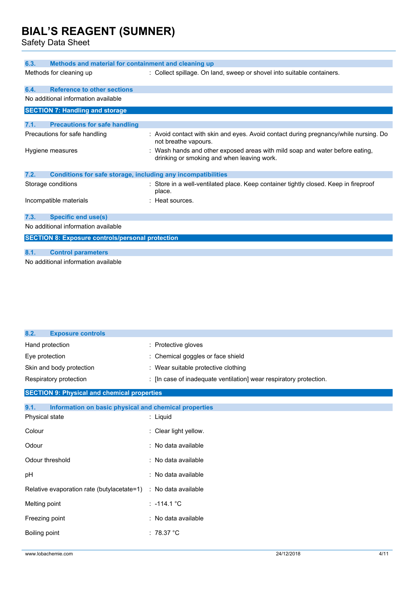Safety Data Sheet

| 6.3.                                                                        | Methods and material for containment and cleaning up                                                                       |  |  |
|-----------------------------------------------------------------------------|----------------------------------------------------------------------------------------------------------------------------|--|--|
| Methods for cleaning up                                                     | : Collect spillage. On land, sweep or shovel into suitable containers.                                                     |  |  |
| <b>Reference to other sections</b><br>6.4.                                  |                                                                                                                            |  |  |
| No additional information available                                         |                                                                                                                            |  |  |
| <b>SECTION 7: Handling and storage</b>                                      |                                                                                                                            |  |  |
| 7.1.<br><b>Precautions for safe handling</b>                                |                                                                                                                            |  |  |
| Precautions for safe handling                                               | : Avoid contact with skin and eyes. Avoid contact during pregnancy/while nursing. Do<br>not breathe vapours.               |  |  |
| Hygiene measures                                                            | : Wash hands and other exposed areas with mild soap and water before eating,<br>drinking or smoking and when leaving work. |  |  |
| 7.2.<br><b>Conditions for safe storage, including any incompatibilities</b> |                                                                                                                            |  |  |
| Storage conditions                                                          | : Store in a well-ventilated place. Keep container tightly closed. Keep in fireproof<br>place.                             |  |  |
| Incompatible materials                                                      | $\therefore$ Heat sources.                                                                                                 |  |  |
| 7.3.<br><b>Specific end use(s)</b>                                          |                                                                                                                            |  |  |
| No additional information available                                         |                                                                                                                            |  |  |
| <b>SECTION 8: Exposure controls/personal protection</b>                     |                                                                                                                            |  |  |
|                                                                             |                                                                                                                            |  |  |
| 8.1.<br><b>Control parameters</b>                                           |                                                                                                                            |  |  |
| No additional information available                                         |                                                                                                                            |  |  |

| 8.2.<br><b>Exposure controls</b> |                                                                    |
|----------------------------------|--------------------------------------------------------------------|
| Hand protection                  | $\therefore$ Protective gloves                                     |
| Eye protection                   | : Chemical goggles or face shield                                  |
| Skin and body protection         | : Wear suitable protective clothing                                |
| Respiratory protection           | : [In case of inadequate ventilation] wear respiratory protection. |

### **SECTION 9: Physical and chemical properties**

| 9.1.<br>Information on basic physical and chemical properties  |                       |
|----------------------------------------------------------------|-----------------------|
| Physical state                                                 | : Liquid              |
| Colour                                                         | : Clear light yellow. |
| Odour                                                          | : No data available   |
| Odour threshold                                                | : No data available   |
| pH                                                             | : No data available   |
| Relative evaporation rate (butylacetate=1) : No data available |                       |
| Melting point                                                  | $: -114.1 °C$         |
| Freezing point                                                 | : No data available   |
| Boiling point                                                  | : 78.37 °C            |
|                                                                |                       |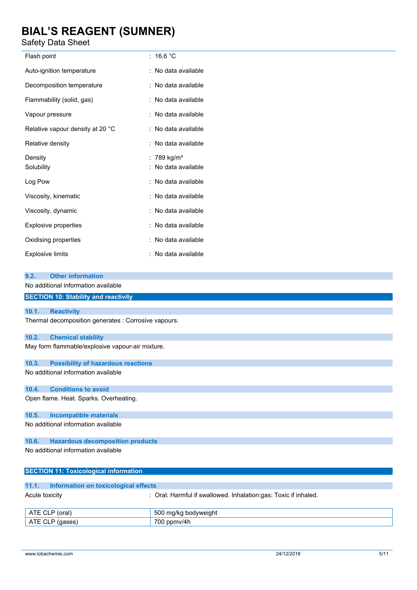Safety Data Sheet

| Flash point                      | : $16.6 °C$             |
|----------------------------------|-------------------------|
| Auto-ignition temperature        | : No data available     |
| Decomposition temperature        | : No data available     |
| Flammability (solid, gas)        | : No data available     |
| Vapour pressure                  | : No data available     |
| Relative vapour density at 20 °C | : No data available     |
| Relative density                 | : No data available     |
| Density                          | : 789 kg/m <sup>3</sup> |
| Solubility                       | : No data available     |
| Log Pow                          | : No data available     |
| Viscosity, kinematic             | : No data available     |
| Viscosity, dynamic               | : No data available     |
| <b>Explosive properties</b>      | : No data available     |
| Oxidising properties             | : No data available     |
| Explosive limits                 | : No data available     |

| <b>SECTION 10: Stability and reactivity</b> |
|---------------------------------------------|
|                                             |
|                                             |

### **10.1. Reactivity**

Thermal decomposition generates : Corrosive vapours.

### **10.2. Chemical stability**

**9.2. Other information** No additional information available

May form flammable/explosive vapour-air mixture.

#### **10.3. Possibility of hazardous reactions**

No additional information available

### **10.4. Conditions to avoid**

Open flame. Heat. Sparks. Overheating.

#### **10.5. Incompatible materials**

No additional information available

### **10.6. Hazardous decomposition products**

No additional information available

|                | 11.1. Information on toxicological effects |                                                                  |
|----------------|--------------------------------------------|------------------------------------------------------------------|
| Acute toxicity |                                            | : Oral: Harmful if swallowed. Inhalation: qas: Toxic if inhaled. |
|                | ATE CLP (oral)                             | 500 mg/kg bodyweight                                             |
|                | ATE CLP (gases)                            | 700 ppmv/4h                                                      |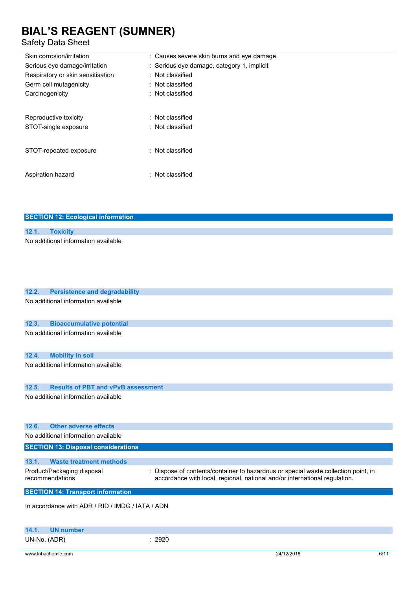**SECTION 12: Ecological information**

### Safety Data Sheet

| Skin corrosion/irritation         | : Causes severe skin burns and eye damage. |
|-----------------------------------|--------------------------------------------|
| Serious eye damage/irritation     | : Serious eye damage, category 1, implicit |
| Respiratory or skin sensitisation | : Not classified                           |
| Germ cell mutagenicity            | : Not classified                           |
| Carcinogenicity                   | : Not classified                           |
| Reproductive toxicity             | : Not classified                           |
| STOT-single exposure              | : Not classified                           |
| STOT-repeated exposure            | $\therefore$ Not classified                |
| Aspiration hazard                 | $\therefore$ Not classified                |

| 12.1.<br><b>Toxicity</b>                                                                                                                                                                                        |  |  |  |
|-----------------------------------------------------------------------------------------------------------------------------------------------------------------------------------------------------------------|--|--|--|
| No additional information available                                                                                                                                                                             |  |  |  |
| 12.2.<br><b>Persistence and degradability</b>                                                                                                                                                                   |  |  |  |
| No additional information available                                                                                                                                                                             |  |  |  |
| 12.3.<br><b>Bioaccumulative potential</b>                                                                                                                                                                       |  |  |  |
| No additional information available                                                                                                                                                                             |  |  |  |
| 12.4.<br><b>Mobility in soil</b>                                                                                                                                                                                |  |  |  |
| No additional information available                                                                                                                                                                             |  |  |  |
| 12.5.<br><b>Results of PBT and vPvB assessment</b>                                                                                                                                                              |  |  |  |
| No additional information available                                                                                                                                                                             |  |  |  |
| <b>Other adverse effects</b><br>12.6.                                                                                                                                                                           |  |  |  |
| No additional information available                                                                                                                                                                             |  |  |  |
| <b>SECTION 13: Disposal considerations</b>                                                                                                                                                                      |  |  |  |
| <b>Waste treatment methods</b><br>13.1.                                                                                                                                                                         |  |  |  |
| Product/Packaging disposal<br>Dispose of contents/container to hazardous or special waste collection point, in<br>recommendations<br>accordance with local, regional, national and/or international regulation. |  |  |  |
| <b>SECTION 14: Transport information</b>                                                                                                                                                                        |  |  |  |
| In accordance with ADR / RID / IMDG / IATA / ADN                                                                                                                                                                |  |  |  |

|              | 14.1. UN number |  |
|--------------|-----------------|--|
| UN-No. (ADR) |                 |  |

www.lobachemie.com 6/11

 $: 2920$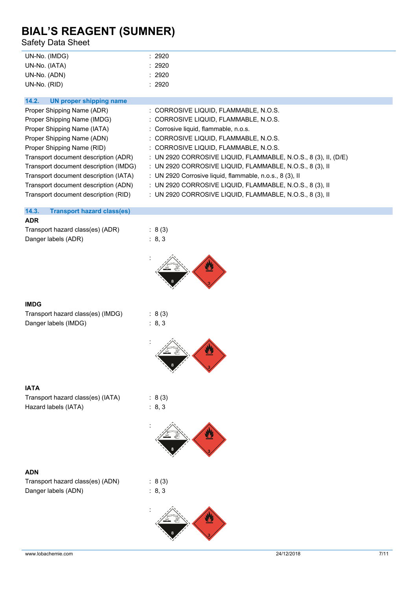Safety Data Sheet

| UN-No. (IMDG) | : 2920 |
|---------------|--------|
| UN-No. (IATA) | : 2920 |
| UN-No. (ADN)  | : 2920 |
| UN-No. (RID)  | : 2920 |

| <b>UN proper shipping name</b><br>14.2. |                                                                      |
|-----------------------------------------|----------------------------------------------------------------------|
| Proper Shipping Name (ADR)              | : CORROSIVE LIQUID, FLAMMABLE, N.O.S.                                |
| Proper Shipping Name (IMDG)             | : CORROSIVE LIQUID, FLAMMABLE, N.O.S.                                |
| Proper Shipping Name (IATA)             | : Corrosive liquid, flammable, n.o.s.                                |
| Proper Shipping Name (ADN)              | : CORROSIVE LIQUID, FLAMMABLE, N.O.S.                                |
| Proper Shipping Name (RID)              | : CORROSIVE LIQUID, FLAMMABLE, N.O.S.                                |
| Transport document description (ADR)    | : UN 2920 CORROSIVE LIQUID, FLAMMABLE, N.O.S., 8 $(3)$ , II, $(D/E)$ |
| Transport document description (IMDG)   | : UN 2920 CORROSIVE LIQUID, FLAMMABLE, N.O.S., 8 (3), II             |
| Transport document description (IATA)   | : UN 2920 Corrosive liquid, flammable, n.o.s., $8(3)$ , II           |
| Transport document description (ADN)    | : UN 2920 CORROSIVE LIQUID, FLAMMABLE, N.O.S., 8 (3), II             |
| Transport document description (RID)    | : UN 2920 CORROSIVE LIQUID, FLAMMABLE, N.O.S., 8 (3), II             |

### **14.3. Transport hazard class(es)**

#### **ADR**

Transport hazard class(es) (ADR) : 8 (3) Danger labels (ADR) : 8, 3



### **IMDG**

| Transport hazard class(es) (IMDG) |  |
|-----------------------------------|--|
| Danger labels (IMDG)              |  |

 $: 8 (3)$  $\therefore$  8, 3



| IATA                              |
|-----------------------------------|
| Transport hazard class(es) (IATA) |
| Hazard labels (IATA)              |

### **ADN**

| Transport hazard class(es) (ADN) |  |
|----------------------------------|--|
| Danger labels (ADN)              |  |



 $: 8 (3)$ : 8, 3

:

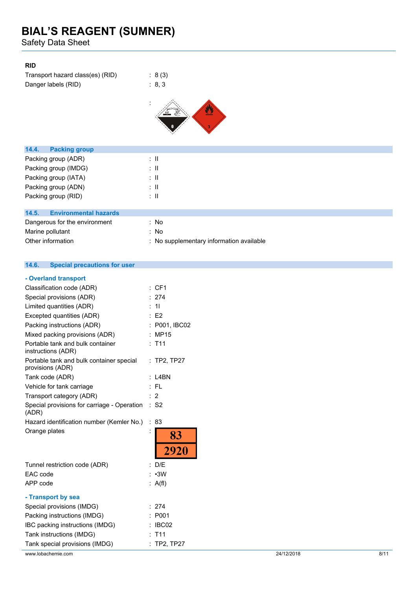Safety Data Sheet

### **RID**

| Transport hazard class(es) (RID) | : 8(3) |
|----------------------------------|--------|
| Danger labels (RID)              | : 8.3  |



| <b>Packing group</b><br>14.4.         |                                          |
|---------------------------------------|------------------------------------------|
| Packing group (ADR)                   | ÷Ш                                       |
| Packing group (IMDG)                  | ÷Ш                                       |
| Packing group (IATA)                  | ÷Ш                                       |
| Packing group (ADN)                   | ÷Ш                                       |
| Packing group (RID)                   | ÷Ш                                       |
|                                       |                                          |
| <b>Environmental hazards</b><br>14.5. |                                          |
| Dangerous for the environment         | : No                                     |
| Marine pollutant                      | : No                                     |
| Other information                     | : No supplementary information available |

#### $14.6.$ **14.6. Special precautions for user**

| - Overland transport                                         |                 |            |      |
|--------------------------------------------------------------|-----------------|------------|------|
| Classification code (ADR)                                    | : CF1           |            |      |
| Special provisions (ADR)                                     | : 274           |            |      |
| Limited quantities (ADR)                                     | : 11            |            |      |
| Excepted quantities (ADR)                                    | $\therefore$ E2 |            |      |
| Packing instructions (ADR)                                   | : P001, IBC02   |            |      |
| Mixed packing provisions (ADR)                               | : MP15          |            |      |
| Portable tank and bulk container<br>instructions (ADR)       | : T11           |            |      |
| Portable tank and bulk container special<br>provisions (ADR) | : TP2, TP27     |            |      |
| Tank code (ADR)                                              | $:$ L4BN        |            |      |
| Vehicle for tank carriage                                    | :FL             |            |      |
| Transport category (ADR)                                     | $\overline{2}$  |            |      |
| Special provisions for carriage - Operation<br>(ADR)         | $\therefore$ S2 |            |      |
| Hazard identification number (Kemler No.)                    | : 83            |            |      |
| Orange plates                                                | 83<br>2920      |            |      |
| Tunnel restriction code (ADR)                                | : D/E           |            |      |
| EAC code                                                     | $: \cdot$ 3W    |            |      |
| APP code                                                     | : A(f)          |            |      |
| - Transport by sea                                           |                 |            |      |
| Special provisions (IMDG)                                    | : 274           |            |      |
| Packing instructions (IMDG)                                  | : P001          |            |      |
| IBC packing instructions (IMDG)                              | : IBC02         |            |      |
| Tank instructions (IMDG)                                     | : T11           |            |      |
| Tank special provisions (IMDG)                               | : TP2, TP27     |            |      |
| www.lobachemie.com                                           |                 | 24/12/2018 | 8/11 |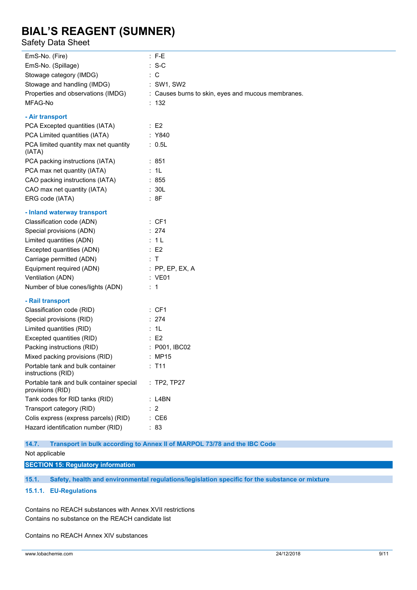### Safety Data Sheet

| EmS-No. (Fire)                                               | $:$ F-E                                                                  |
|--------------------------------------------------------------|--------------------------------------------------------------------------|
| EmS-No. (Spillage)                                           | $: S-C$                                                                  |
| Stowage category (IMDG)                                      | $\therefore$ C                                                           |
| Stowage and handling (IMDG)                                  | : SW1, SW2                                                               |
| Properties and observations (IMDG)                           | : Causes burns to skin, eyes and mucous membranes.                       |
| MFAG-No                                                      | : 132                                                                    |
| - Air transport                                              |                                                                          |
| PCA Excepted quantities (IATA)                               | $\therefore$ E2                                                          |
| PCA Limited quantities (IATA)                                | : Y840                                                                   |
| PCA limited quantity max net quantity<br>(IATA)              | : 0.5L                                                                   |
| PCA packing instructions (IATA)                              | : 851                                                                    |
| PCA max net quantity (IATA)                                  | : 1L                                                                     |
| CAO packing instructions (IATA)                              | : 855                                                                    |
| CAO max net quantity (IATA)                                  | : 30L                                                                    |
| ERG code (IATA)                                              | :8F                                                                      |
| - Inland waterway transport                                  |                                                                          |
| Classification code (ADN)                                    | : CF1                                                                    |
| Special provisions (ADN)                                     | : 274                                                                    |
| Limited quantities (ADN)                                     | : 1L                                                                     |
| Excepted quantities (ADN)                                    | $\therefore$ E2                                                          |
| Carriage permitted (ADN)                                     | $\therefore$ T                                                           |
| Equipment required (ADN)                                     | $:$ PP, EP, EX, A                                                        |
| Ventilation (ADN)                                            | : VE01                                                                   |
| Number of blue cones/lights (ADN)                            | $\therefore$ 1                                                           |
| - Rail transport                                             |                                                                          |
| Classification code (RID)                                    | : CF1                                                                    |
| Special provisions (RID)                                     | : 274                                                                    |
| Limited quantities (RID)                                     | : 1L                                                                     |
| Excepted quantities (RID)                                    | $\therefore$ E2                                                          |
| Packing instructions (RID)                                   | : P001, IBC02                                                            |
| Mixed packing provisions (RID)                               | : MP15                                                                   |
| Portable tank and bulk container<br>instructions (RID)       | : T11                                                                    |
| Portable tank and bulk container special<br>provisions (RID) | : TP2, TP27                                                              |
| Tank codes for RID tanks (RID)                               | : L4BN                                                                   |
| Transport category (RID)                                     | $\therefore$ 2                                                           |
| Colis express (express parcels) (RID)                        | $\therefore$ CE6                                                         |
| Hazard identification number (RID)                           | : 83                                                                     |
| 14.7.                                                        | Transport in bulk according to Annex II of MARPOL 73/78 and the IBC Code |

#### Not applicable

**SECTION 15: Regulatory information**

**15.1. Safety, health and environmental regulations/legislation specific for the substance or mixture**

**15.1.1. EU-Regulations**

Contains no REACH substances with Annex XVII restrictions Contains no substance on the REACH candidate list

Contains no REACH Annex XIV substances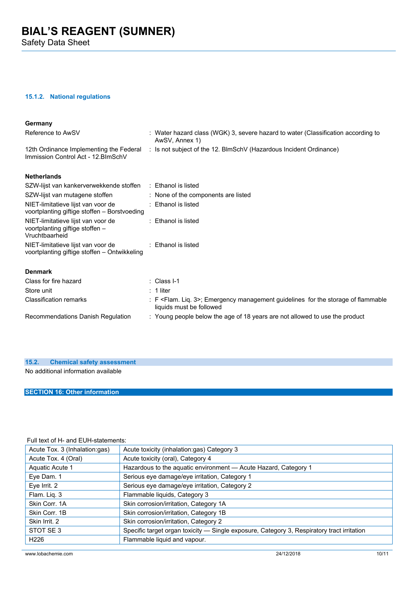Safety Data Sheet

### **15.1.2. National regulations**

| Germany                                                                                 |                                                                                                                             |
|-----------------------------------------------------------------------------------------|-----------------------------------------------------------------------------------------------------------------------------|
| Reference to AwSV                                                                       | : Water hazard class (WGK) 3, severe hazard to water (Classification according to<br>AwSV, Annex 1)                         |
| 12th Ordinance Implementing the Federal<br>Immission Control Act - 12. BlmSchV          | : Is not subject of the 12. BlmSchV (Hazardous Incident Ordinance)                                                          |
| <b>Netherlands</b>                                                                      |                                                                                                                             |
| SZW-lijst van kankerverwekkende stoffen                                                 | : Ethanol is listed                                                                                                         |
| SZW-lijst van mutagene stoffen                                                          | : None of the components are listed                                                                                         |
| NIET-limitatieve lijst van voor de<br>voortplanting giftige stoffen - Borstvoeding      | : Ethanol is listed                                                                                                         |
| NIET-limitatieve lijst van voor de<br>voortplanting giftige stoffen -<br>Vruchtbaarheid | $\therefore$ Ethanol is listed                                                                                              |
| NIET-limitatieve lijst van voor de<br>voortplanting giftige stoffen - Ontwikkeling      | : Ethanol is listed                                                                                                         |
| <b>Denmark</b>                                                                          |                                                                                                                             |
| Class for fire hazard                                                                   | : Class I-1                                                                                                                 |
| Store unit                                                                              | $: 1$ liter                                                                                                                 |
| <b>Classification remarks</b>                                                           | : F <flam. 3="" liq.="">; Emergency management guidelines for the storage of flammable<br/>liquids must be followed</flam.> |
| Recommendations Danish Regulation                                                       | : Young people below the age of 18 years are not allowed to use the product                                                 |
|                                                                                         |                                                                                                                             |

#### **15.2. Chemical safety assessment**

No additional information available

### **SECTION 16: Other information**

### Full text of H- and EUH-statements:

| Acute Tox. 3 (Inhalation:gas) | Acute toxicity (inhalation:gas) Category 3                                                 |
|-------------------------------|--------------------------------------------------------------------------------------------|
| Acute Tox. 4 (Oral)           | Acute toxicity (oral), Category 4                                                          |
| Aquatic Acute 1               | Hazardous to the aquatic environment - Acute Hazard, Category 1                            |
| Eye Dam. 1                    | Serious eye damage/eye irritation, Category 1                                              |
| Eve Irrit. 2                  | Serious eye damage/eye irritation, Category 2                                              |
| Flam. Liq. 3                  | Flammable liquids, Category 3                                                              |
| Skin Corr. 1A                 | Skin corrosion/irritation, Category 1A                                                     |
| Skin Corr. 1B                 | Skin corrosion/irritation, Category 1B                                                     |
| Skin Irrit, 2                 | Skin corrosion/irritation, Category 2                                                      |
| STOT SE3                      | Specific target organ toxicity — Single exposure, Category 3, Respiratory tract irritation |
| H <sub>226</sub>              | Flammable liquid and vapour.                                                               |
|                               |                                                                                            |